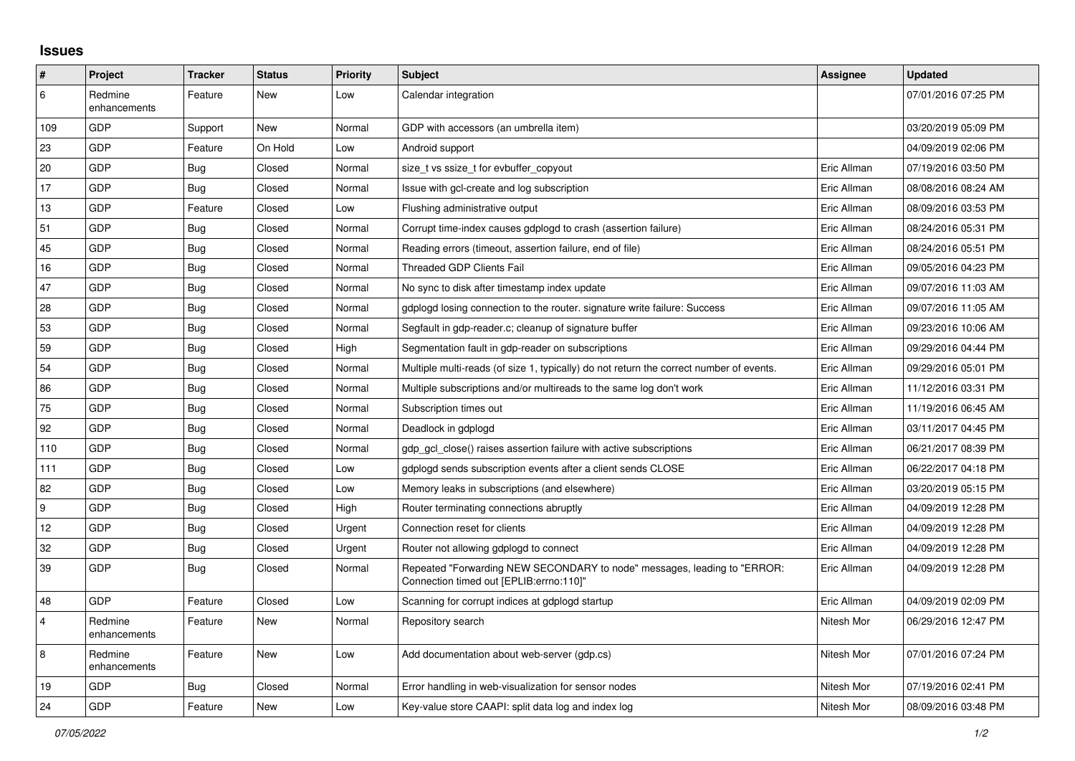## **Issues**

| $\vert$ #      | Project                 | <b>Tracker</b> | <b>Status</b> | <b>Priority</b> | <b>Subject</b>                                                                                                      | <b>Assignee</b> | <b>Updated</b>      |
|----------------|-------------------------|----------------|---------------|-----------------|---------------------------------------------------------------------------------------------------------------------|-----------------|---------------------|
| 6              | Redmine<br>enhancements | Feature        | New           | Low             | Calendar integration                                                                                                |                 | 07/01/2016 07:25 PM |
| 109            | GDP                     | Support        | New           | Normal          | GDP with accessors (an umbrella item)                                                                               |                 | 03/20/2019 05:09 PM |
| 23             | GDP                     | Feature        | On Hold       | Low             | Android support                                                                                                     |                 | 04/09/2019 02:06 PM |
| 20             | GDP                     | Bug            | Closed        | Normal          | size t vs ssize t for evbuffer copyout                                                                              | Eric Allman     | 07/19/2016 03:50 PM |
| 17             | <b>GDP</b>              | Bug            | Closed        | Normal          | Issue with gcl-create and log subscription                                                                          | Eric Allman     | 08/08/2016 08:24 AM |
| 13             | GDP                     | Feature        | Closed        | Low             | Flushing administrative output                                                                                      | Eric Allman     | 08/09/2016 03:53 PM |
| 51             | GDP                     | <b>Bug</b>     | Closed        | Normal          | Corrupt time-index causes gdplogd to crash (assertion failure)                                                      | Eric Allman     | 08/24/2016 05:31 PM |
| 45             | GDP                     | Bug            | Closed        | Normal          | Reading errors (timeout, assertion failure, end of file)                                                            | Eric Allman     | 08/24/2016 05:51 PM |
| 16             | GDP                     | <b>Bug</b>     | Closed        | Normal          | <b>Threaded GDP Clients Fail</b>                                                                                    | Eric Allman     | 09/05/2016 04:23 PM |
| 47             | GDP                     | Bug            | Closed        | Normal          | No sync to disk after timestamp index update                                                                        | Eric Allman     | 09/07/2016 11:03 AM |
| 28             | GDP                     | <b>Bug</b>     | Closed        | Normal          | gdplogd losing connection to the router. signature write failure: Success                                           | Eric Allman     | 09/07/2016 11:05 AM |
| 53             | GDP                     | <b>Bug</b>     | Closed        | Normal          | Segfault in gdp-reader.c; cleanup of signature buffer                                                               | Eric Allman     | 09/23/2016 10:06 AM |
| 59             | GDP                     | <b>Bug</b>     | Closed        | High            | Segmentation fault in gdp-reader on subscriptions                                                                   | Eric Allman     | 09/29/2016 04:44 PM |
| 54             | GDP                     | <b>Bug</b>     | Closed        | Normal          | Multiple multi-reads (of size 1, typically) do not return the correct number of events.                             | Eric Allman     | 09/29/2016 05:01 PM |
| 86             | GDP                     | Bug            | Closed        | Normal          | Multiple subscriptions and/or multireads to the same log don't work                                                 | Eric Allman     | 11/12/2016 03:31 PM |
| 75             | GDP                     | Bug            | Closed        | Normal          | Subscription times out                                                                                              | Eric Allman     | 11/19/2016 06:45 AM |
| 92             | GDP                     | <b>Bug</b>     | Closed        | Normal          | Deadlock in gdplogd                                                                                                 | Eric Allman     | 03/11/2017 04:45 PM |
| 110            | <b>GDP</b>              | Bug            | Closed        | Normal          | gdp gcl close() raises assertion failure with active subscriptions                                                  | Eric Allman     | 06/21/2017 08:39 PM |
| 111            | GDP                     | Bug            | Closed        | Low             | gdplogd sends subscription events after a client sends CLOSE                                                        | Eric Allman     | 06/22/2017 04:18 PM |
| 82             | GDP                     | <b>Bug</b>     | Closed        | Low             | Memory leaks in subscriptions (and elsewhere)                                                                       | Eric Allman     | 03/20/2019 05:15 PM |
| 9              | GDP                     | <b>Bug</b>     | Closed        | High            | Router terminating connections abruptly                                                                             | Eric Allman     | 04/09/2019 12:28 PM |
| 12             | GDP                     | <b>Bug</b>     | Closed        | Urgent          | Connection reset for clients                                                                                        | Eric Allman     | 04/09/2019 12:28 PM |
| 32             | GDP                     | Bug            | Closed        | Urgent          | Router not allowing gdplogd to connect                                                                              | Eric Allman     | 04/09/2019 12:28 PM |
| 39             | GDP                     | <b>Bug</b>     | Closed        | Normal          | Repeated "Forwarding NEW SECONDARY to node" messages, leading to "ERROR:<br>Connection timed out [EPLIB:errno:110]" | Eric Allman     | 04/09/2019 12:28 PM |
| 48             | GDP                     | Feature        | Closed        | Low             | Scanning for corrupt indices at gdplogd startup                                                                     | Eric Allman     | 04/09/2019 02:09 PM |
| $\overline{4}$ | Redmine<br>enhancements | Feature        | New           | Normal          | Repository search                                                                                                   | Nitesh Mor      | 06/29/2016 12:47 PM |
| $\overline{8}$ | Redmine<br>enhancements | Feature        | New           | Low             | Add documentation about web-server (gdp.cs)                                                                         | Nitesh Mor      | 07/01/2016 07:24 PM |
| 19             | GDP                     | <b>Bug</b>     | Closed        | Normal          | Error handling in web-visualization for sensor nodes                                                                | Nitesh Mor      | 07/19/2016 02:41 PM |
| 24             | GDP                     | Feature        | <b>New</b>    | Low             | Key-value store CAAPI: split data log and index log                                                                 | Nitesh Mor      | 08/09/2016 03:48 PM |